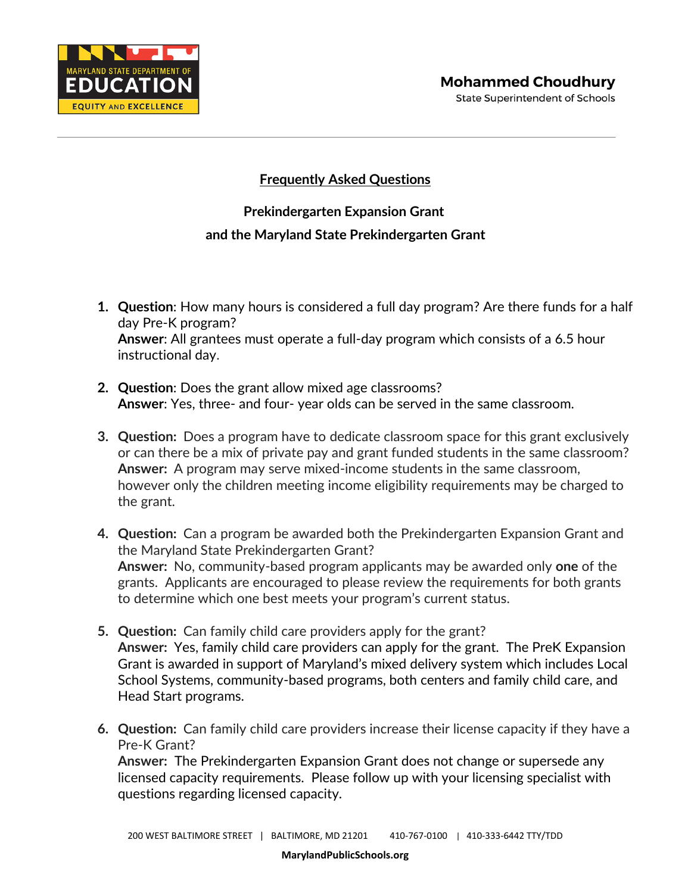

## **Frequently Asked Questions**

## **Prekindergarten Expansion Grant and the Maryland State Prekindergarten Grant**

- **1. Question**: How many hours is considered a full day program? Are there funds for a half day Pre-K program? **Answer**: All grantees must operate a full-day program which consists of a 6.5 hour instructional day.
- **2. Question**: Does the grant allow mixed age classrooms? **Answer**: Yes, three- and four- year olds can be served in the same classroom.
- **3. Question:** Does a program have to dedicate classroom space for this grant exclusively or can there be a mix of private pay and grant funded students in the same classroom? **Answer:** A program may serve mixed-income students in the same classroom, however only the children meeting income eligibility requirements may be charged to the grant.
- **4. Question:** Can a program be awarded both the Prekindergarten Expansion Grant and the Maryland State Prekindergarten Grant? **Answer:** No, community-based program applicants may be awarded only **one** of the grants. Applicants are encouraged to please review the requirements for both grants to determine which one best meets your program's current status.
- **5. Question:** Can family child care providers apply for the grant? **Answer:** Yes, family child care providers can apply for the grant. The PreK Expansion Grant is awarded in support of Maryland's mixed delivery system which includes Local School Systems, community-based programs, both centers and family child care, and Head Start programs.
- **6. Question:** Can family child care providers increase their license capacity if they have a Pre-K Grant?

**Answer:** The Prekindergarten Expansion Grant does not change or supersede any licensed capacity requirements. Please follow up with your licensing specialist with questions regarding licensed capacity.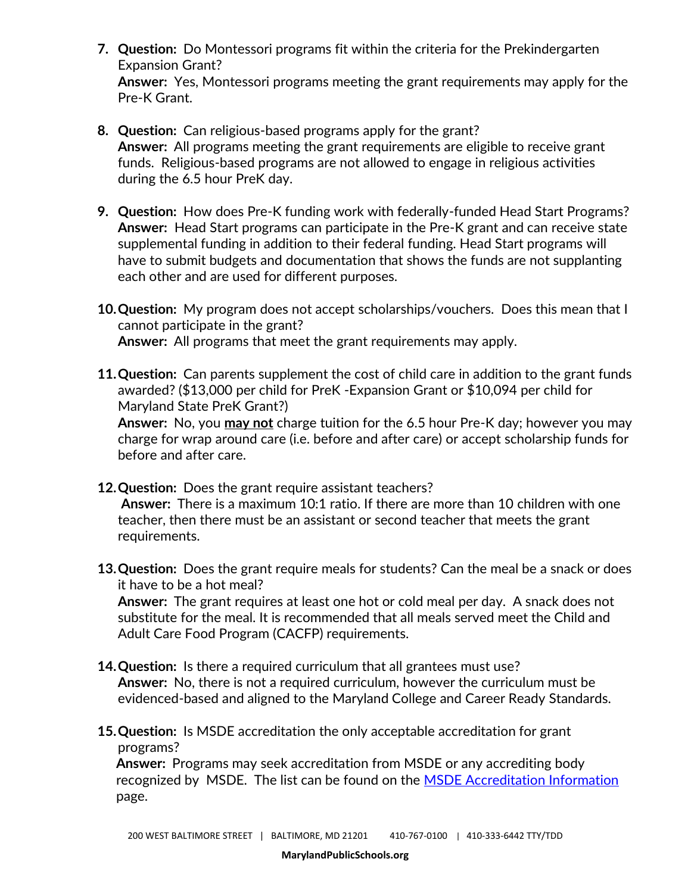- **7. Question:** Do Montessori programs fit within the criteria for the Prekindergarten Expansion Grant? **Answer:** Yes, Montessori programs meeting the grant requirements may apply for the Pre-K Grant.
- **8. Question:** Can religious-based programs apply for the grant? **Answer:** All programs meeting the grant requirements are eligible to receive grant funds. Religious-based programs are not allowed to engage in religious activities during the 6.5 hour PreK day.
- **9. Question:** How does Pre-K funding work with federally-funded Head Start Programs? **Answer:** Head Start programs can participate in the Pre-K grant and can receive state supplemental funding in addition to their federal funding. Head Start programs will have to submit budgets and documentation that shows the funds are not supplanting each other and are used for different purposes.
- **10.Question:** My program does not accept scholarships/vouchers. Does this mean that I cannot participate in the grant? **Answer:** All programs that meet the grant requirements may apply.
- **11.Question:** Can parents supplement the cost of child care in addition to the grant funds awarded? (\$13,000 per child for PreK -Expansion Grant or \$10,094 per child for Maryland State PreK Grant?)

**Answer:** No, you **may not** charge tuition for the 6.5 hour Pre-K day; however you may charge for wrap around care (i.e. before and after care) or accept scholarship funds for before and after care.

- **12.Question:** Does the grant require assistant teachers? **Answer:** There is a maximum 10:1 ratio. If there are more than 10 children with one teacher, then there must be an assistant or second teacher that meets the grant requirements.
- **13.Question:** Does the grant require meals for students? Can the meal be a snack or does it have to be a hot meal?

**Answer:** The grant requires at least one hot or cold meal per day. A snack does not substitute for the meal. It is recommended that all meals served meet the Child and Adult Care Food Program (CACFP) requirements.

- **14.Question:** Is there a required curriculum that all grantees must use? **Answer:** No, there is not a required curriculum, however the curriculum must be evidenced-based and aligned to the Maryland College and Career Ready Standards.
- **15.Question:** Is MSDE accreditation the only acceptable accreditation for grant programs?

**Answer:** Programs may seek accreditation from MSDE or any accrediting body recognized by MSDE. The list can be found on the [MSDE Accreditation Information](https://earlychildhood.marylandpublicschools.org/child-care-providers/maryland-excels/maryland-accreditation) page.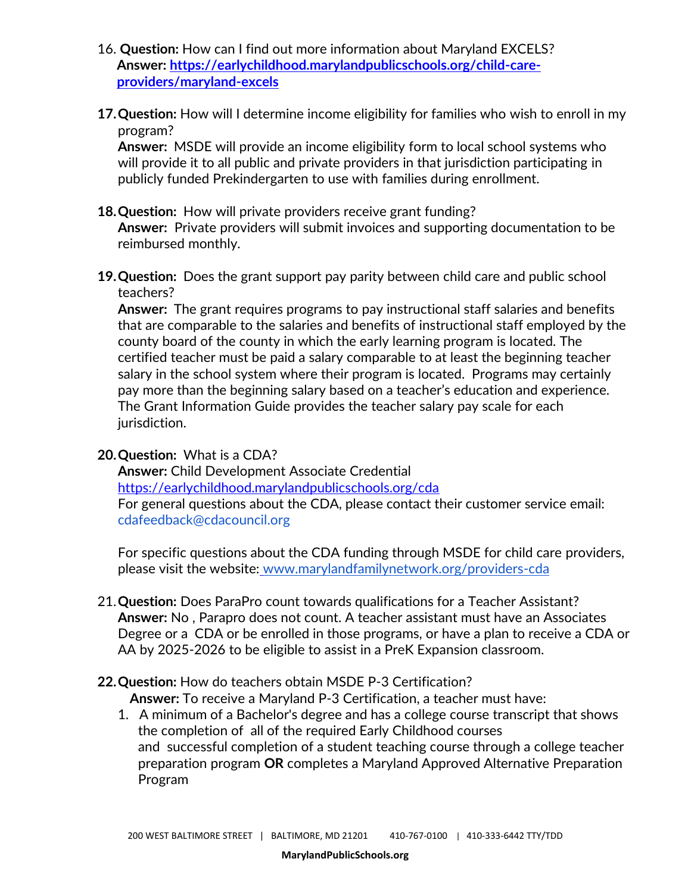- 16. **Question:** How can I find out more information about Maryland EXCELS? **Answer: [https://earlychildhood.marylandpublicschools.org/child-care](https://earlychildhood.marylandpublicschools.org/child-care-providers/maryland-excels)[providers/maryland-excels](https://earlychildhood.marylandpublicschools.org/child-care-providers/maryland-excels)**
- **17.Question:** How will I determine income eligibility for families who wish to enroll in my program?

**Answer:** MSDE will provide an income eligibility form to local school systems who will provide it to all public and private providers in that jurisdiction participating in publicly funded Prekindergarten to use with families during enrollment.

**18.Question:** How will private providers receive grant funding?

**Answer:** Private providers will submit invoices and supporting documentation to be reimbursed monthly.

**19.Question:** Does the grant support pay parity between child care and public school teachers?

**Answer:** The grant requires programs to pay instructional staff salaries and benefits that are comparable to the salaries and benefits of instructional staff employed by the county board of the county in which the early learning program is located. The certified teacher must be paid a salary comparable to at least the beginning teacher salary in the school system where their program is located. Programs may certainly pay more than the beginning salary based on a teacher's education and experience. The Grant Information Guide provides the teacher salary pay scale for each jurisdiction.

**20.Question:** What is a CDA?

**Answer:** Child Development Associate Credential <https://earlychildhood.marylandpublicschools.org/cda> For general questions about the CDA, please contact their customer service email: cdafeedback@cdacouncil.org

For specific questions about the CDA funding through MSDE for child care providers, please visit the website: [www.marylandfamilynetwork.org/providers-cda](http://www.marylandfamilynetwork.org/providers-cda)

- 21.**Question:** Does ParaPro count towards qualifications for a Teacher Assistant? **Answer:** No , Parapro does not count. A teacher assistant must have an Associates Degree or a CDA or be enrolled in those programs, or have a plan to receive a CDA or AA by 2025-2026 to be eligible to assist in a PreK Expansion classroom.
- **22.Question:** How do teachers obtain MSDE P-3 Certification?
	- **Answer:** To receive a Maryland P-3 Certification, a teacher must have:
	- 1. A minimum of a Bachelor's degree and has a college course transcript that shows the completion of all of the required Early Childhood courses and successful completion of a student teaching course through a college teacher preparation program **OR** completes a Maryland Approved Alternative Preparation Program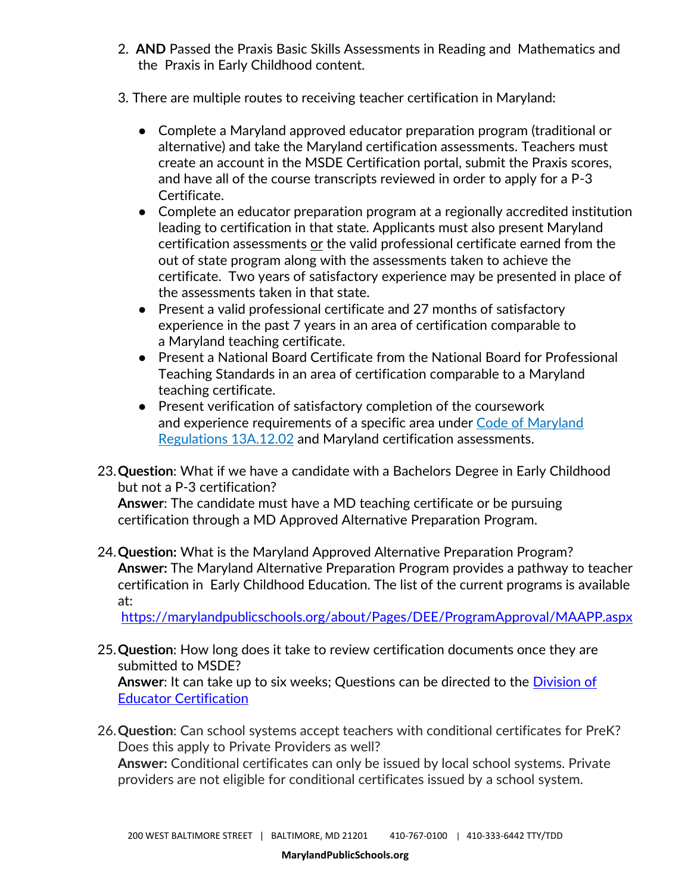- 2. **AND** Passed the Praxis Basic Skills Assessments in Reading and Mathematics and the Praxis in Early Childhood content.
- 3. There are multiple routes to receiving teacher certification in Maryland:
	- Complete a Maryland approved educator preparation program (traditional or alternative) and take the Maryland certification assessments. Teachers must create an account in the MSDE Certification portal, submit the Praxis scores, and have all of the course transcripts reviewed in order to apply for a P-3 Certificate.
	- Complete an educator preparation program at a regionally accredited institution leading to certification in that state. Applicants must also present Maryland certification assessments or the valid professional certificate earned from the out of state program along with the assessments taken to achieve the certificate. Two years of satisfactory experience may be presented in place of the assessments taken in that state.
	- Present a valid professional certificate and 27 months of satisfactory experience in the past 7 years in an area of certification comparable to a Maryland teaching certificate.
	- Present a National Board Certificate from the National Board for Professional Teaching Standards in an area of certification comparable to a Maryland teaching certificate.
	- Present verification of satisfactory completion of the coursework and experience requirements of a specific area under [Code of Maryland](http://www.dsd.state.md.us/COMAR/SubtitleSearch.aspx?search=13A.12.02.%2a)  [Regulations 13A.12.02](http://www.dsd.state.md.us/COMAR/SubtitleSearch.aspx?search=13A.12.02.%2a) and Maryland certification assessments.
- 23.**Question**: What if we have a candidate with a Bachelors Degree in Early Childhood but not a P-3 certification?

**Answer**: The candidate must have a MD teaching certificate or be pursuing certification through a MD Approved Alternative Preparation Program.

24.**Question:** What is the Maryland Approved Alternative Preparation Program? **Answer:** The Maryland Alternative Preparation Program provides a pathway to teacher certification in Early Childhood Education. The list of the current programs is available at:

<https://marylandpublicschools.org/about/Pages/DEE/ProgramApproval/MAAPP.aspx>

- 25.**Question**: How long does it take to review certification documents once they are submitted to MSDE? **Answer**: It can take up to six weeks; Questions can be directed to the [Division of](https://marylandpublicschools.org/about/Pages/DEE/Certification/index.aspx)  [Educator Certification](https://marylandpublicschools.org/about/Pages/DEE/Certification/index.aspx)
- 26.**Question**: Can school systems accept teachers with conditional certificates for PreK? Does this apply to Private Providers as well? **Answer:** Conditional certificates can only be issued by local school systems. Private providers are not eligible for conditional certificates issued by a school system.